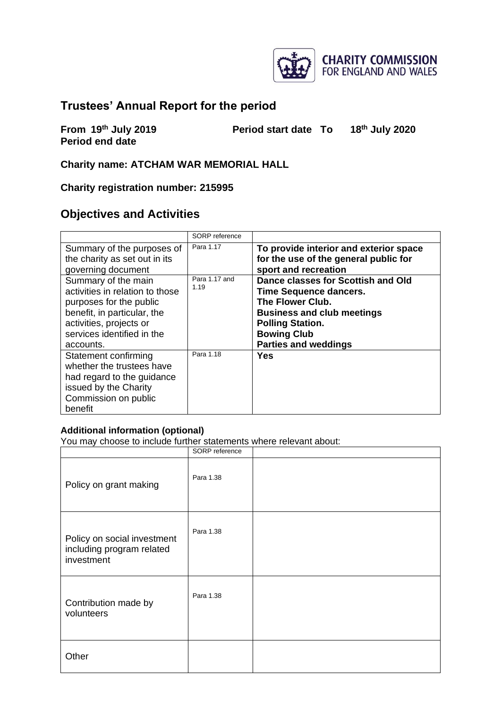

## **Trustees' Annual Report for the period**

**From 19th July 2019 Period start date To 18th July 2020 Period end date**

**Charity name: ATCHAM WAR MEMORIAL HALL**

**Charity registration number: 215995**

## **Objectives and Activities**

|                                                                                                                                                                                        | SORP reference        |                                                                                                                                                                                                              |
|----------------------------------------------------------------------------------------------------------------------------------------------------------------------------------------|-----------------------|--------------------------------------------------------------------------------------------------------------------------------------------------------------------------------------------------------------|
| Summary of the purposes of<br>the charity as set out in its<br>governing document                                                                                                      | Para 1.17             | To provide interior and exterior space<br>for the use of the general public for<br>sport and recreation                                                                                                      |
| Summary of the main<br>activities in relation to those<br>purposes for the public<br>benefit, in particular, the<br>activities, projects or<br>services identified in the<br>accounts. | Para 1.17 and<br>1.19 | Dance classes for Scottish and Old<br><b>Time Sequence dancers.</b><br>The Flower Club.<br><b>Business and club meetings</b><br><b>Polling Station.</b><br><b>Bowing Club</b><br><b>Parties and weddings</b> |
| Statement confirming<br>whether the trustees have<br>had regard to the guidance<br>issued by the Charity<br>Commission on public<br>benefit                                            | Para 1.18             | Yes                                                                                                                                                                                                          |

#### **Additional information (optional)**

You may choose to include further statements where relevant about:

|                                                                        | SORP reference |  |
|------------------------------------------------------------------------|----------------|--|
| Policy on grant making                                                 | Para 1.38      |  |
| Policy on social investment<br>including program related<br>investment | Para 1.38      |  |
| Contribution made by<br>volunteers                                     | Para 1.38      |  |
| Other                                                                  |                |  |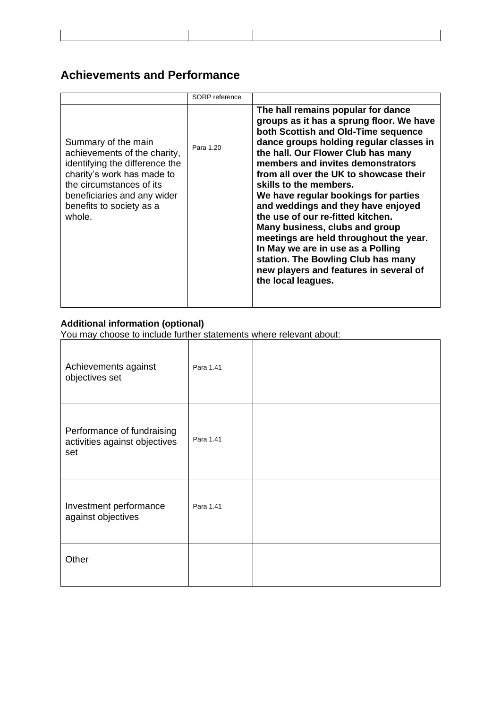## **Achievements and Performance**

|                                                                                                                                                                                                                      | SORP reference |                                                                                                                                                                                                                                                                                                                                                                                                                                                                                                                                                                                                                                                           |
|----------------------------------------------------------------------------------------------------------------------------------------------------------------------------------------------------------------------|----------------|-----------------------------------------------------------------------------------------------------------------------------------------------------------------------------------------------------------------------------------------------------------------------------------------------------------------------------------------------------------------------------------------------------------------------------------------------------------------------------------------------------------------------------------------------------------------------------------------------------------------------------------------------------------|
| Summary of the main<br>achievements of the charity,<br>identifying the difference the<br>charity's work has made to<br>the circumstances of its<br>beneficiaries and any wider<br>benefits to society as a<br>whole. | Para 1.20      | The hall remains popular for dance<br>groups as it has a sprung floor. We have<br>both Scottish and Old-Time sequence<br>dance groups holding regular classes in<br>the hall. Our Flower Club has many<br>members and invites demonstrators<br>from all over the UK to showcase their<br>skills to the members.<br>We have regular bookings for parties<br>and weddings and they have enjoyed<br>the use of our re-fitted kitchen.<br>Many business, clubs and group<br>meetings are held throughout the year.<br>In May we are in use as a Polling<br>station. The Bowling Club has many<br>new players and features in several of<br>the local leagues. |

#### **Additional information (optional)**

You may choose to include further statements where relevant about:

| Achievements against<br>objectives set                             | Para 1.41 |  |
|--------------------------------------------------------------------|-----------|--|
| Performance of fundraising<br>activities against objectives<br>set | Para 1.41 |  |
| Investment performance<br>against objectives                       | Para 1.41 |  |
| Other                                                              |           |  |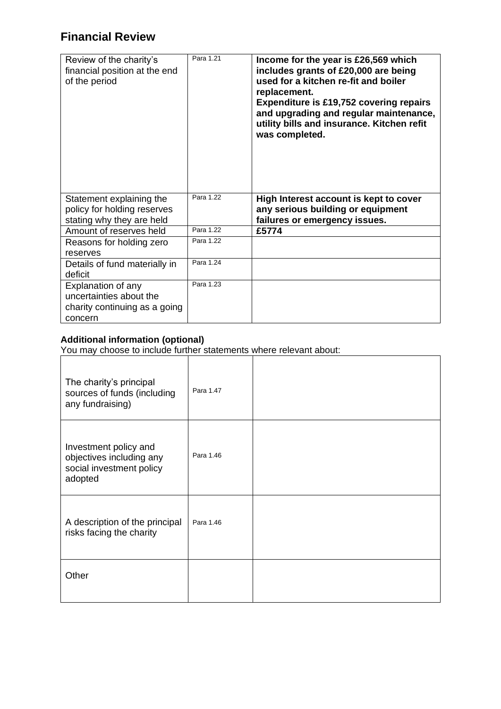# **Financial Review**

| Review of the charity's<br>financial position at the end<br>of the period                 | Para 1.21 | Income for the year is £26,569 which<br>includes grants of £20,000 are being<br>used for a kitchen re-fit and boiler<br>replacement.<br><b>Expenditure is £19,752 covering repairs</b><br>and upgrading and regular maintenance,<br>utility bills and insurance. Kitchen refit<br>was completed. |
|-------------------------------------------------------------------------------------------|-----------|--------------------------------------------------------------------------------------------------------------------------------------------------------------------------------------------------------------------------------------------------------------------------------------------------|
| Statement explaining the<br>policy for holding reserves<br>stating why they are held      | Para 1.22 | High Interest account is kept to cover<br>any serious building or equipment<br>failures or emergency issues.                                                                                                                                                                                     |
| Amount of reserves held                                                                   | Para 1.22 | £5774                                                                                                                                                                                                                                                                                            |
| Reasons for holding zero<br>reserves                                                      | Para 1.22 |                                                                                                                                                                                                                                                                                                  |
| Details of fund materially in<br>deficit                                                  | Para 1.24 |                                                                                                                                                                                                                                                                                                  |
| Explanation of any<br>uncertainties about the<br>charity continuing as a going<br>concern | Para 1.23 |                                                                                                                                                                                                                                                                                                  |

#### **Additional information (optional)**

You may choose to include further statements where relevant about:

| The charity's principal<br>sources of funds (including<br>any fundraising)               | Para 1.47 |  |
|------------------------------------------------------------------------------------------|-----------|--|
| Investment policy and<br>objectives including any<br>social investment policy<br>adopted | Para 1.46 |  |
| A description of the principal<br>risks facing the charity                               | Para 1.46 |  |
| Other                                                                                    |           |  |

 $\overline{\phantom{a}}$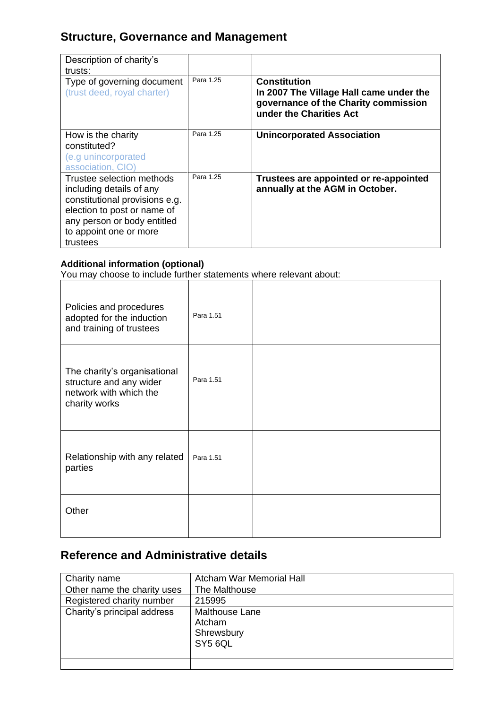## **Structure, Governance and Management**

| Description of charity's<br>trusts:                                                                                                                                                         |           |                                                                                                                                   |
|---------------------------------------------------------------------------------------------------------------------------------------------------------------------------------------------|-----------|-----------------------------------------------------------------------------------------------------------------------------------|
| Type of governing document<br>(trust deed, royal charter)                                                                                                                                   | Para 1.25 | <b>Constitution</b><br>In 2007 The Village Hall came under the<br>governance of the Charity commission<br>under the Charities Act |
| How is the charity<br>constituted?<br>(e.g unincorporated<br>association, CIO)                                                                                                              | Para 1.25 | <b>Unincorporated Association</b>                                                                                                 |
| Trustee selection methods<br>including details of any<br>constitutional provisions e.g.<br>election to post or name of<br>any person or body entitled<br>to appoint one or more<br>trustees | Para 1.25 | Trustees are appointed or re-appointed<br>annually at the AGM in October.                                                         |

#### **Additional information (optional)**

You may choose to include further statements where relevant about:

| Policies and procedures<br>adopted for the induction<br>and training of trustees                   | Para 1.51 |  |
|----------------------------------------------------------------------------------------------------|-----------|--|
| The charity's organisational<br>structure and any wider<br>network with which the<br>charity works | Para 1.51 |  |
| Relationship with any related<br>parties                                                           | Para 1.51 |  |
| Other                                                                                              |           |  |

# **Reference and Administrative details**

| Charity name                | <b>Atcham War Memorial Hall</b>                          |
|-----------------------------|----------------------------------------------------------|
| Other name the charity uses | The Malthouse                                            |
| Registered charity number   | 215995                                                   |
| Charity's principal address | <b>Malthouse Lane</b><br>Atcham<br>Shrewsbury<br>SY5 6QL |
|                             |                                                          |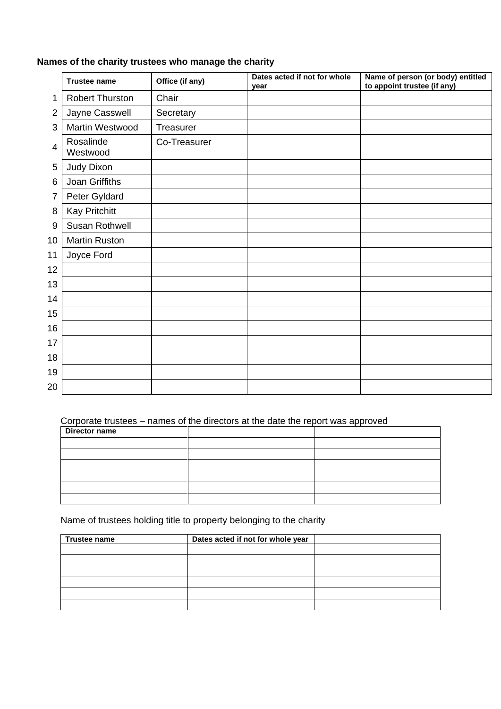#### **Names of the charity trustees who manage the charity**

|                | <b>Trustee name</b>    | Office (if any) | Dates acted if not for whole<br>vear | Name of person (or body) entitled<br>to appoint trustee (if any) |
|----------------|------------------------|-----------------|--------------------------------------|------------------------------------------------------------------|
| 1              | <b>Robert Thurston</b> | Chair           |                                      |                                                                  |
| $\overline{2}$ | Jayne Casswell         | Secretary       |                                      |                                                                  |
| 3              | Martin Westwood        | Treasurer       |                                      |                                                                  |
| $\overline{4}$ | Rosalinde<br>Westwood  | Co-Treasurer    |                                      |                                                                  |
| 5              | Judy Dixon             |                 |                                      |                                                                  |
| 6              | Joan Griffiths         |                 |                                      |                                                                  |
| 7              | Peter Gyldard          |                 |                                      |                                                                  |
| 8              | <b>Kay Pritchitt</b>   |                 |                                      |                                                                  |
| 9              | Susan Rothwell         |                 |                                      |                                                                  |
| 10             | <b>Martin Ruston</b>   |                 |                                      |                                                                  |
| 11             | Joyce Ford             |                 |                                      |                                                                  |
| 12             |                        |                 |                                      |                                                                  |
| 13             |                        |                 |                                      |                                                                  |
| 14             |                        |                 |                                      |                                                                  |
| 15             |                        |                 |                                      |                                                                  |
| 16             |                        |                 |                                      |                                                                  |
| 17             |                        |                 |                                      |                                                                  |
| 18             |                        |                 |                                      |                                                                  |
| 19             |                        |                 |                                      |                                                                  |
| 20             |                        |                 |                                      |                                                                  |

## Corporate trustees – names of the directors at the date the report was approved

| Director name |  |
|---------------|--|
|               |  |
|               |  |
|               |  |
|               |  |
|               |  |
|               |  |

Name of trustees holding title to property belonging to the charity

| Trustee name | Dates acted if not for whole year |  |
|--------------|-----------------------------------|--|
|              |                                   |  |
|              |                                   |  |
|              |                                   |  |
|              |                                   |  |
|              |                                   |  |
|              |                                   |  |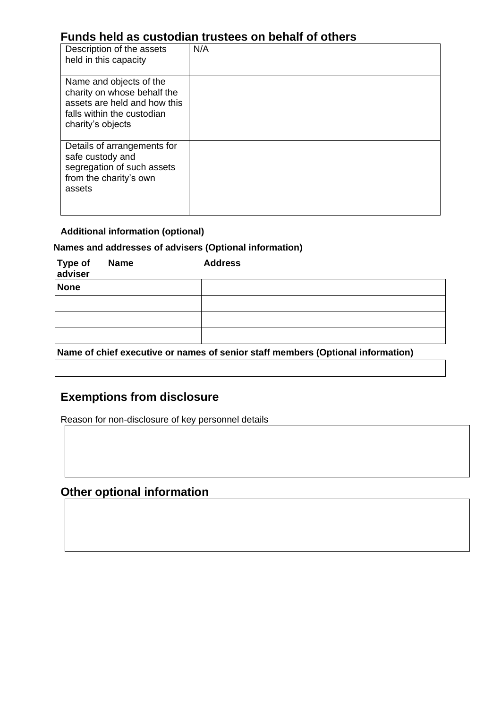## **Funds held as custodian trustees on behalf of others**

| Description of the assets<br>held in this capacity                                                                                        | N/A |  |  |
|-------------------------------------------------------------------------------------------------------------------------------------------|-----|--|--|
| Name and objects of the<br>charity on whose behalf the<br>assets are held and how this<br>falls within the custodian<br>charity's objects |     |  |  |
| Details of arrangements for<br>safe custody and<br>segregation of such assets<br>from the charity's own<br>assets                         |     |  |  |

#### **Additional information (optional)**

#### **Names and addresses of advisers (Optional information)**

| Type of<br>adviser | <b>Name</b> | <b>Address</b> |
|--------------------|-------------|----------------|
| <b>None</b>        |             |                |
|                    |             |                |
|                    |             |                |
|                    |             |                |

**Name of chief executive or names of senior staff members (Optional information)**

## **Exemptions from disclosure**

Reason for non-disclosure of key personnel details

## **Other optional information**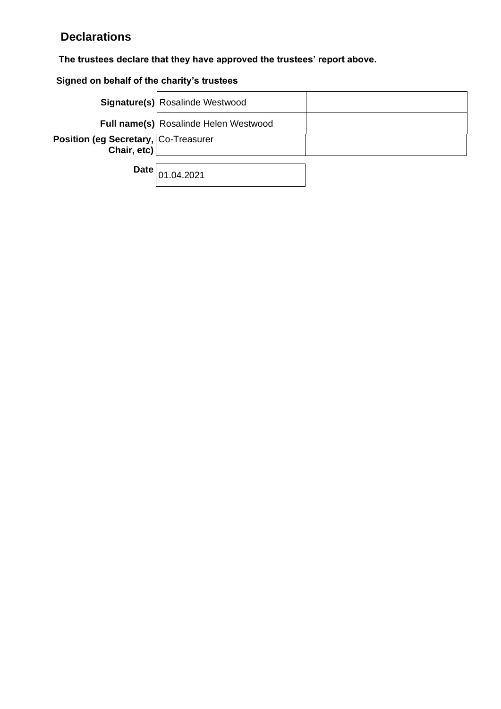# **Declarations**

## **The trustees declare that they have approved the trustees' report above.**

## **Signed on behalf of the charity's trustees**

|                                                     | Signature(s) Rosalinde Westwood       |  |
|-----------------------------------------------------|---------------------------------------|--|
|                                                     | Full name(s) Rosalinde Helen Westwood |  |
| Position (eg Secretary, Co-Treasurer<br>Chair, etc) |                                       |  |
|                                                     |                                       |  |

 $\textsf{Date}\Big|_{01.04.2021}$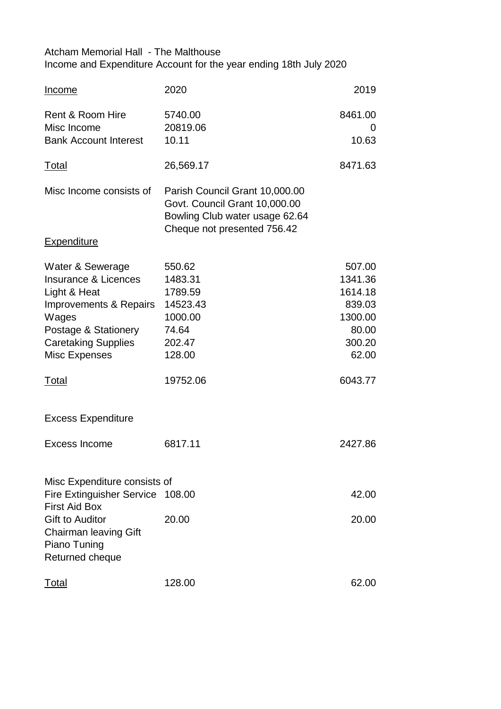## Atcham Memorial Hall - The Malthouse Income and Expenditure Account for the year ending 18th July 2020

| <b>Income</b>                                                                                                                                                                                        | 2020                                                                                                                             | 2019                                                                                     |
|------------------------------------------------------------------------------------------------------------------------------------------------------------------------------------------------------|----------------------------------------------------------------------------------------------------------------------------------|------------------------------------------------------------------------------------------|
| Rent & Room Hire<br>Misc Income<br><b>Bank Account Interest</b>                                                                                                                                      | 5740.00<br>20819.06<br>10.11                                                                                                     | 8461.00<br>O<br>10.63                                                                    |
| <u>Total</u>                                                                                                                                                                                         | 26,569.17                                                                                                                        | 8471.63                                                                                  |
| Misc Income consists of                                                                                                                                                                              | Parish Council Grant 10,000.00<br>Govt. Council Grant 10,000.00<br>Bowling Club water usage 62.64<br>Cheque not presented 756.42 |                                                                                          |
| <b>Expenditure</b>                                                                                                                                                                                   |                                                                                                                                  |                                                                                          |
| Water & Sewerage<br><b>Insurance &amp; Licences</b><br>Light & Heat<br>Improvements & Repairs<br>Wages<br>Postage & Stationery<br><b>Caretaking Supplies</b><br><b>Misc Expenses</b><br><u>Total</u> | 550.62<br>1483.31<br>1789.59<br>14523.43<br>1000.00<br>74.64<br>202.47<br>128.00<br>19752.06                                     | 507.00<br>1341.36<br>1614.18<br>839.03<br>1300.00<br>80.00<br>300.20<br>62.00<br>6043.77 |
| <b>Excess Expenditure</b>                                                                                                                                                                            |                                                                                                                                  |                                                                                          |
| Excess Income                                                                                                                                                                                        | 6817.11                                                                                                                          | 2427.86                                                                                  |
| Misc Expenditure consists of<br>Fire Extinguisher Service 108.00<br><b>First Aid Box</b><br><b>Gift to Auditor</b><br><b>Chairman leaving Gift</b><br>Piano Tuning<br>Returned cheque                | 20.00                                                                                                                            | 42.00<br>20.00                                                                           |
| <u>Total</u>                                                                                                                                                                                         | 128.00                                                                                                                           | 62.00                                                                                    |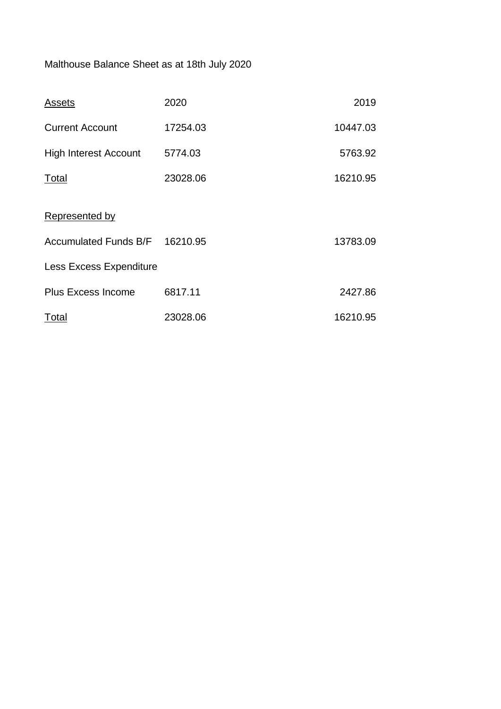# Malthouse Balance Sheet as at 18th July 2020

| <b>Assets</b>                  | 2020     | 2019     |
|--------------------------------|----------|----------|
| <b>Current Account</b>         | 17254.03 | 10447.03 |
| <b>High Interest Account</b>   | 5774.03  | 5763.92  |
| Total                          | 23028.06 | 16210.95 |
| Represented by                 |          |          |
| Accumulated Funds B/F 16210.95 |          | 13783.09 |
| <b>Less Excess Expenditure</b> |          |          |
| <b>Plus Excess Income</b>      | 6817.11  | 2427.86  |
| Total                          | 23028.06 | 16210.95 |